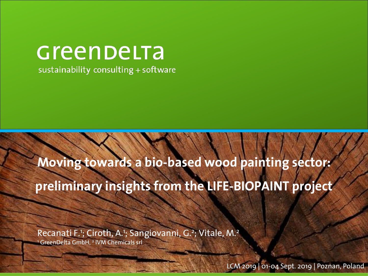## Greenbelta

sustainability consulting + software

## **Moving towards a bio-based wood painting sector: preliminary insights from the LIFE-BIOPAINT project**

Recanati F.<sup>1</sup>; Ciroth, A.<sup>1</sup>; Sangiovanni, G.<sup>2</sup>; Vitale, M.<sup>2</sup>

<sup>1</sup> GreenDelta GmbH, <sup>2</sup> IVM Chemicals srl

LCM 2019 | 01-04 Sept. 2019 | Poznan, Poland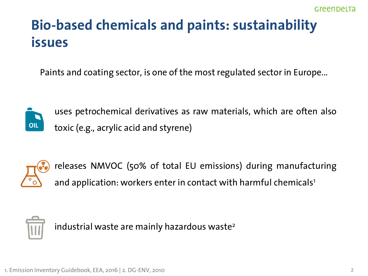## **Bio-based chemicals and paints: sustainability issues**

Paints and coating sector, is one of the most regulated sector in Europe...



uses petrochemical derivatives as raw materials, which are often also toxic (e.g., acrylic acid and styrene)



releases NMVOC (50% of total EU emissions) during manufacturing and application: workers enter in contact with harmful chemicals<sup>1</sup>



industrial waste are mainly hazardous waste<sup>2</sup>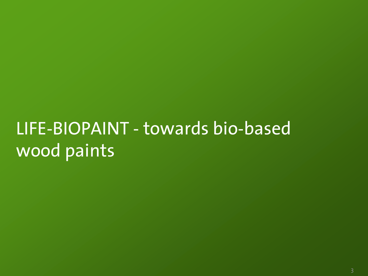## LIFE-BIOPAINT - towards bio-based wood paints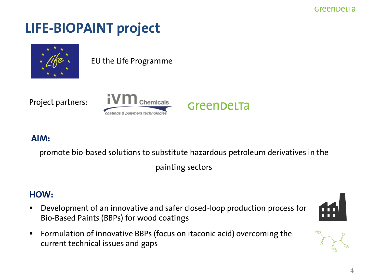#### GreenDeLTa

## **LIFE-BIOPAINT project**



EU the Life Programme

Project partners:



#### **AIM:**

promote bio-based solutions to substitute hazardous petroleum derivatives in the

GreenDeLTa

painting sectors

#### **HOW:**

■ Development of an innovative and safer closed-loop production process for Bio-Based Paints (BBPs) for wood coatings





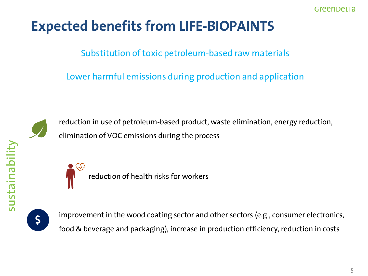## **Expected benefits from LIFE-BIOPAINTS**

Substitution of toxic petroleum-based raw materials

Lower harmful emissions during production and application



reduction in use of petroleum-based product, waste elimination, energy reduction, elimination of VOC emissions during the process



reduction of health risks for workers



improvement in the wood coating sector and other sectors (e.g., consumer electronics, food & beverage and packaging), increase in production efficiency, reduction in costs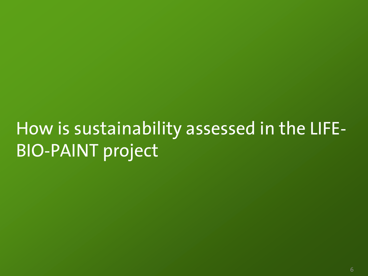## How is sustainability assessed in the LIFE-BIO-PAINT project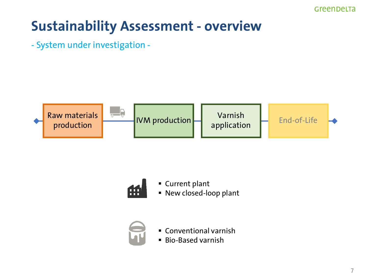## **Sustainability Assessment - overview**

- System under investigation -





■ Current plant ▪ New closed-loop plant



- Conventional varnish
- Bio-Based varnish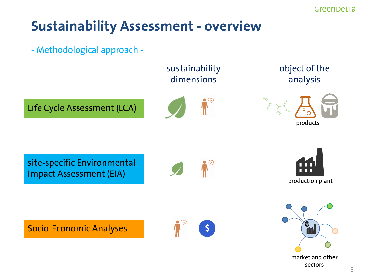### **Sustainability Assessment - overview**





market and other sectors

8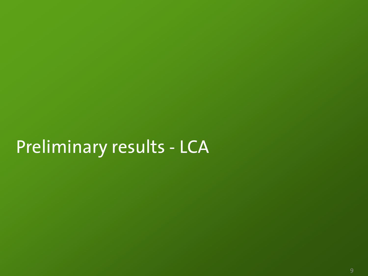## Preliminary results - LCA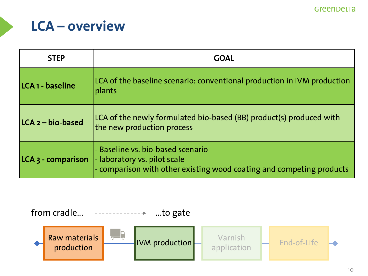### **LCA – overview**

| <b>STEP</b>                   | <b>GOAL</b>                                                                                                                               |  |  |  |  |
|-------------------------------|-------------------------------------------------------------------------------------------------------------------------------------------|--|--|--|--|
| LCA <sub>1</sub> - baseline   | LCA of the baseline scenario: conventional production in IVM production<br>plants                                                         |  |  |  |  |
| LCA 2 - bio-based             | LCA of the newly formulated bio-based (BB) product(s) produced with<br>the new production process                                         |  |  |  |  |
| LCA <sub>3</sub> - comparison | - Baseline vs. bio-based scenario<br>- laboratory vs. pilot scale<br>- comparison with other existing wood coating and competing products |  |  |  |  |

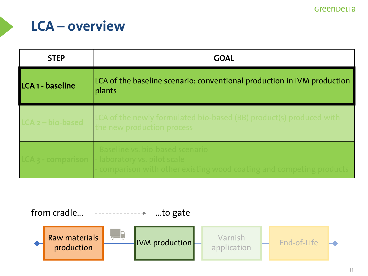### **LCA – overview**

| <b>STEP</b>         | <b>GOAL</b>                                                                                                                         |  |  |  |
|---------------------|-------------------------------------------------------------------------------------------------------------------------------------|--|--|--|
| LCA 1 - baseline    | LCA of the baseline scenario: conventional production in IVM production<br>plants                                                   |  |  |  |
| $LCA_2 - bio-based$ | LCA of the newly formulated bio-based (BB) product(s) produced with<br>the new production process                                   |  |  |  |
| LCA 3 - comparison  | Baseline vs. bio-based scenario<br>laboratory vs. pilot scale<br>comparison with other existing wood coating and competing products |  |  |  |

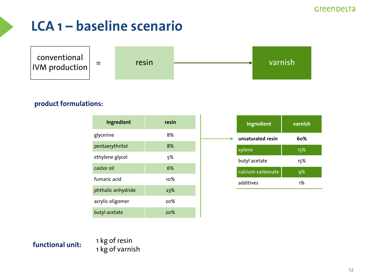

#### **product formulations:**

| Ingredient         | resin |
|--------------------|-------|
| glycerine          | 8%    |
| pentaerythritol    | 8%    |
| ethylene glycol    | 5%    |
| castor oil         | 6%    |
| fumaric acid       | 1റ%   |
| phthalic anhydride | 23%   |
| acrylic oligomer   | 20%   |
| butyl acetate      | 20%   |

| Ingredient        | varnish |
|-------------------|---------|
| unsaturated resin | 60%     |
| xylene            | 15%     |
| butyl acetate     | 15%     |
| calcium carbonate | 9%      |
| additives         | 1%      |

**functional unit:** 1 kg of resin 1 kg of varnish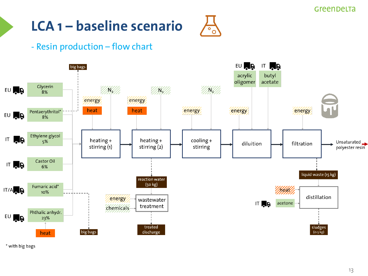

#### - Resin production – flow chart



\* with big bags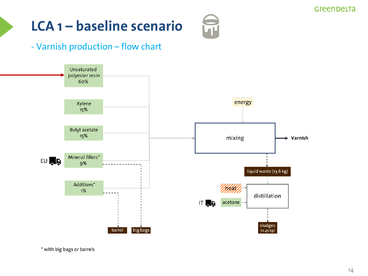## $\widetilde{\mathbf{u}}$

#### - Varnish production – flow chart



\* with big bags or barrels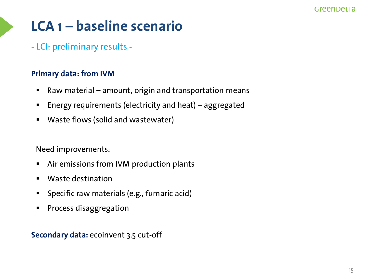- LCI: preliminary results -

#### **Primary data: from IVM**

- Raw material amount, origin and transportation means
- Energy requirements (electricity and heat) aggregated
- Waste flows (solid and wastewater)

Need improvements:

- Air emissions from IVM production plants
- Waste destination
- Specific raw materials (e.g., fumaric acid)
- Process disaggregation

**Secondary data:** ecoinvent 3.5 cut-off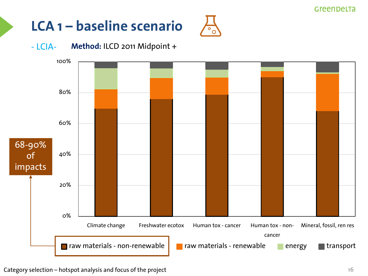## **LCA 1 – baseline scenario**



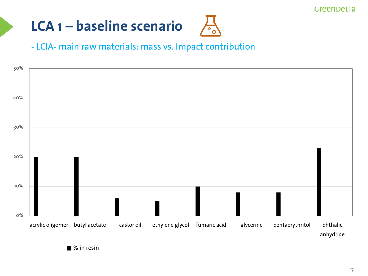

#### - LCIA- main raw materials: mass vs. Impact contribution

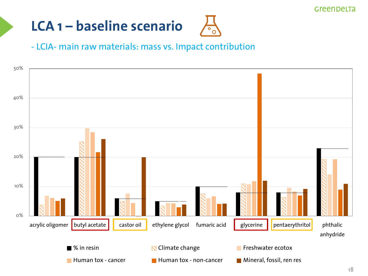

#### - LCIA- main raw materials: mass vs. Impact contribution

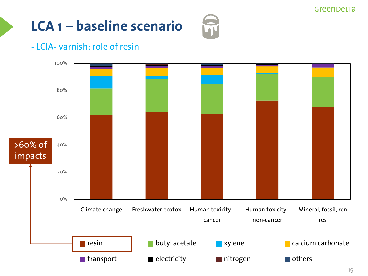#### - LCIA- varnish: role of resin

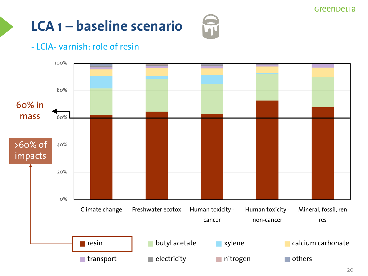### - LCIA- varnish: role of resin

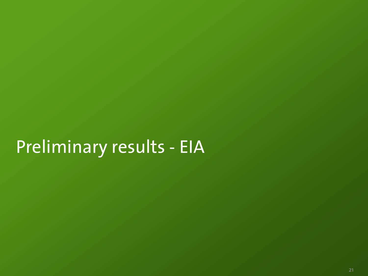## Preliminary results - EIA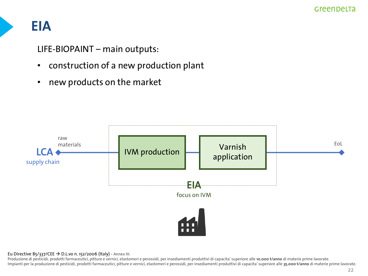### **EIA**

LIFE-BIOPAINT – main outputs:

- construction of a new production plant
- new products on the market



#### Eu Directive 85/337/CEE → D.L.vo n. 152/2006 (Italy) - Annex III:

Produzione di pesticidi, prodotti farmaceutici, pitture e vernici, elastomeri e perossidi, per insediamenti produttivi di capacita' superiore alle **10.000 t/anno** di materie prime lavorate. Impianti per la produzione di pesticidi, prodotti farmaceutici, pitture e vernici, elastomeri e perossidi, per insediamenti produttivi di capacita' superiore alle **35.000 t/anno** di materie prime lavorate.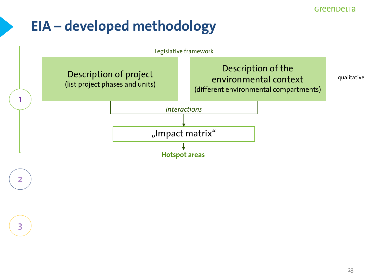### **EIA – developed methodology**

2

3

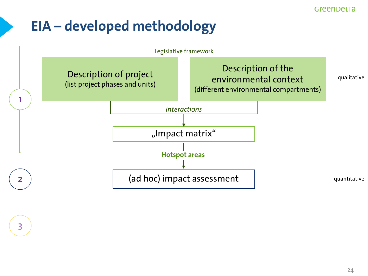### **EIA – developed methodology**

3

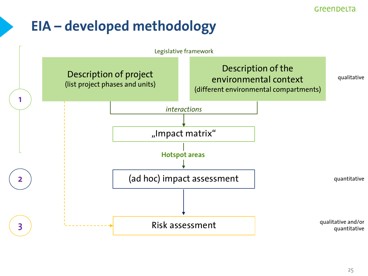### **EIA – developed methodology**

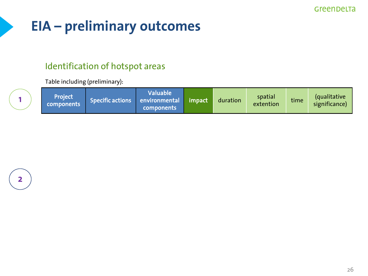## **EIA – preliminary outcomes**

#### Identification of hotspot areas

Table including (preliminary):

|  | Project<br>components | Specific actions environmental | Waluable <b>\</b><br><b>components</b> | $\blacksquare$ impact $\blacksquare$ | duration | spatial<br>extention | time | <i><u><b>Caualitative</b></u></i><br>significance) |
|--|-----------------------|--------------------------------|----------------------------------------|--------------------------------------|----------|----------------------|------|----------------------------------------------------|
|--|-----------------------|--------------------------------|----------------------------------------|--------------------------------------|----------|----------------------|------|----------------------------------------------------|

1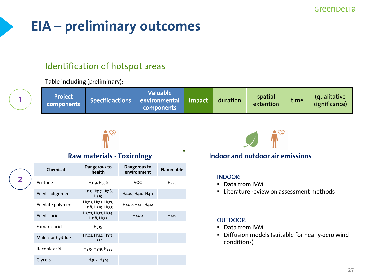## **EIA – preliminary outcomes**

H318, H332 H400 H226

#### Identification of hotspot areas

Table including (preliminary):

Fumaric acid H319

Maleic anhydride H302, H314, H317,

Itaconic acid H315, H319, H335

Glycols H302, H373

H334



#### OUTDOOR:

- Data from IVM
- Diffusion models (suitable for nearly-zero wind conditions)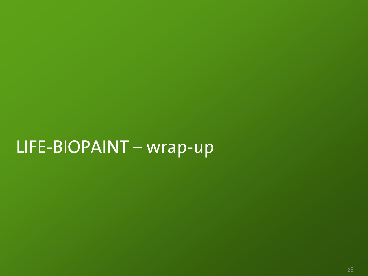## LIFE-BIOPAINT – wrap-up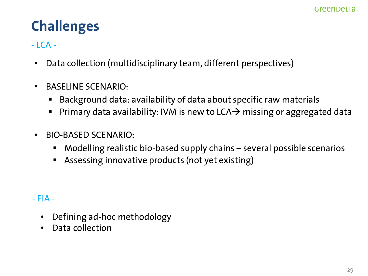## **Challenges**

#### $-LCA -$

- Data collection (multidisciplinary team, different perspectives)
- BASELINE SCENARIO:
	- Background data: availability of data about specific raw materials
	- Primary data availability: IVM is new to LCA $\rightarrow$  missing or aggregated data
- BIO-BASED SCENARIO:
	- Modelling realistic bio-based supply chains several possible scenarios
	- Assessing innovative products (not yet existing)
- EIA
	- Defining ad-hoc methodology
	- Data collection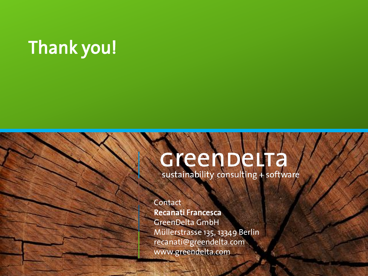## Thank you!

# Green DeLTa

**Contact** Recanati Francesca GreenDelta GmbH Müllerstrasse 135, 13349 Berlin [recanati@greendelta.com](mailto:recanati@greendelta.com) www.greendelta.com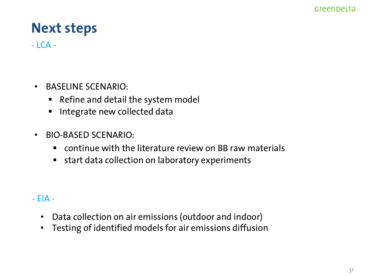### **Next steps**

 $-LCA -$ 

- BASELINE SCENARIO:
	- Refine and detail the system model
	- **·** Integrate new collected data
- BIO-BASED SCENARIO:
	- continue with the literature review on BB raw materials
	- start data collection on laboratory experiments
- EIA
	- Data collection on air emissions (outdoor and indoor)
	- Testing of identified models for air emissions diffusion